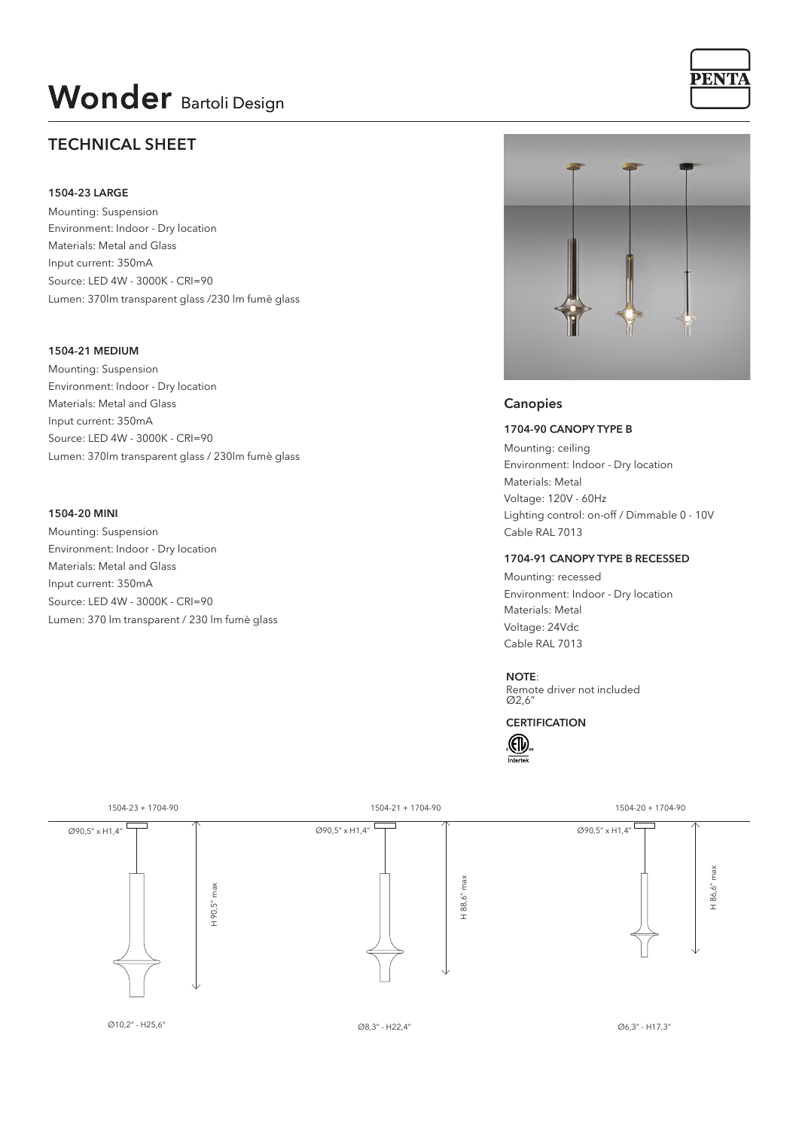# **Wonder** Bartoli Design

# **TECHNICAL SHEET**

#### **1504-23 LARGE**

Mounting: Suspension Environment: Indoor - Dry location Materials: Metal and Glass Input current: 350mA Source: LED 4W - 3000K - CRI=90 Lumen: 370lm transparent glass /230 lm fumè glass

### **1504-21 MEDIUM**

Mounting: Suspension Environment: Indoor - Dry location Materials: Metal and Glass Input current: 350mA Source: LED 4W - 3000K - CRI=90 Lumen: 370lm transparent glass / 230lm fumè glass

#### **1504-20 MINI**

Mounting: Suspension Environment: Indoor - Dry location Materials: Metal and Glass Input current: 350mA Source: LED 4W - 3000K - CRI=90 Lumen: 370 lm transparent / 230 lm fumè glass



**PENTA** 

### **Canopies**

**1704-90 CANOPY TYPE B**

Mounting: ceiling Environment: Indoor - Dry location Materials: Metal Lighting control: on-off / Dimmable 0 - 10V Voltage: 120V - 60Hz Cable RAL 7013

#### **1704-91 CANOPY TYPE B RECESSED**

Mounting: recessed Environment: Indoor - Dry location Materials: Metal Voltage: 24Vdc Cable RAL 7013

#### **NOTE**:

Remote driver not included Ø2,6"

**CERTIFICATION**



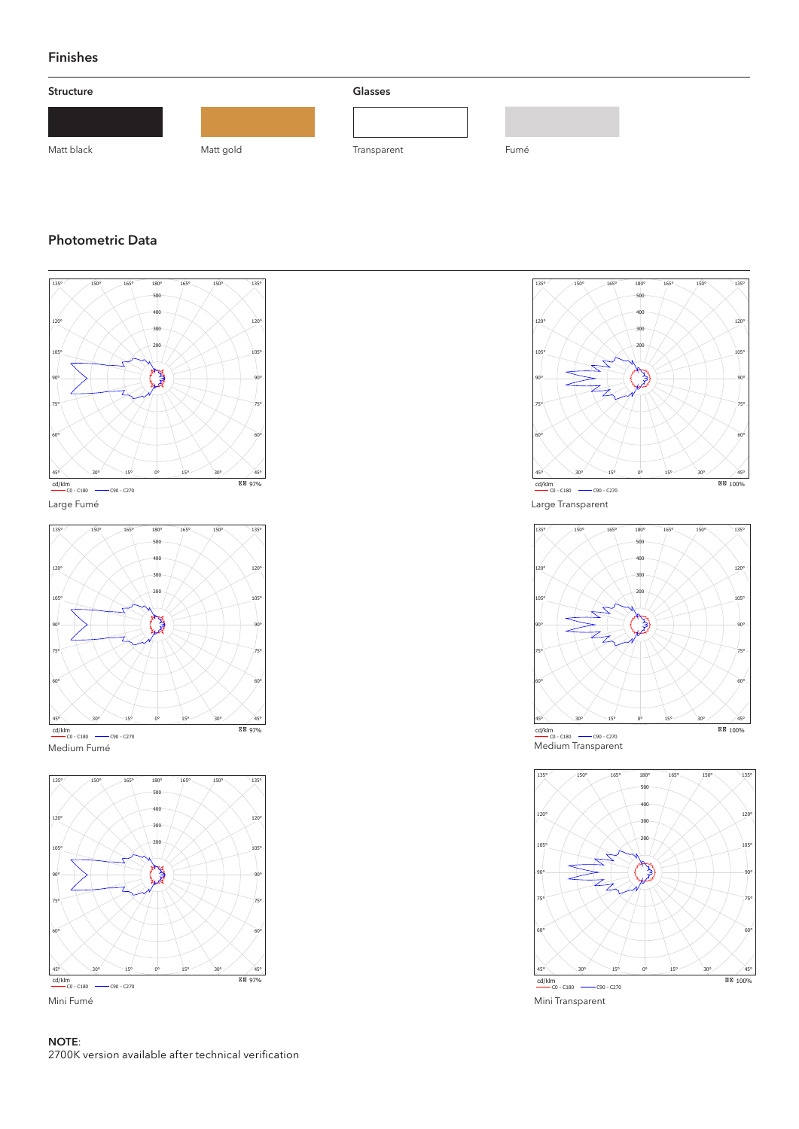# **Finishes**



# **Photometric Data**











Mini Transparent